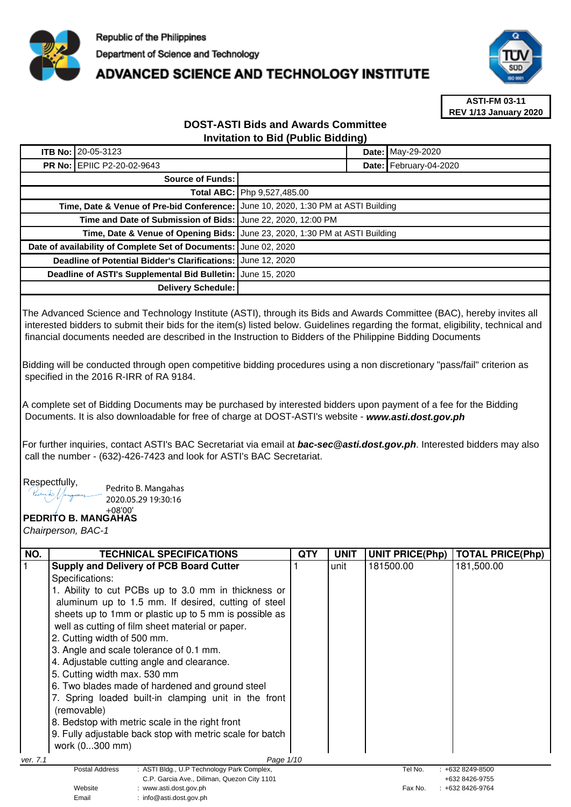

# **ADVANCED SCIENCE AND TECHNOLOGY INSTITUTE**



**ASTI-FM 03-11 REV 1/13 January 2020**

#### **DOST-ASTI Bids and Awards Committee Invitation to Bid (Public Bidding)**

|                                                              | ITB No: 20-05-3123                                                                  |                      |  | Date: May-29-2020      |  |
|--------------------------------------------------------------|-------------------------------------------------------------------------------------|----------------------|--|------------------------|--|
|                                                              | <b>PR No: EPIIC P2-20-02-9643</b>                                                   |                      |  | Date: February-04-2020 |  |
| Source of Funds:                                             |                                                                                     |                      |  |                        |  |
| <b>Total ABC:   Php 9.527,485.00</b>                         |                                                                                     |                      |  |                        |  |
|                                                              | Time, Date & Venue of Pre-bid Conference:   June 10, 2020, 1:30 PM at ASTI Building |                      |  |                        |  |
| Time and Date of Submission of Bids: June 22, 2020, 12:00 PM |                                                                                     |                      |  |                        |  |
|                                                              | Time, Date & Venue of Opening Bids: June 23, 2020, 1:30 PM at ASTI Building         |                      |  |                        |  |
|                                                              | Date of availability of Complete Set of Documents: June 02, 2020                    |                      |  |                        |  |
|                                                              | <b>Deadline of Potential Bidder's Clarifications:</b>                               | <b>June 12, 2020</b> |  |                        |  |
| Deadline of ASTI's Supplemental Bid Bulletin: June 15, 2020  |                                                                                     |                      |  |                        |  |
|                                                              | <b>Delivery Schedule:</b>                                                           |                      |  |                        |  |

The Advanced Science and Technology Institute (ASTI), through its Bids and Awards Committee (BAC), hereby invites all interested bidders to submit their bids for the item(s) listed below. Guidelines regarding the format, eligibility, technical and financial documents needed are described in the Instruction to Bidders of the Philippine Bidding Documents

Bidding will be conducted through open competitive bidding procedures using a non discretionary "pass/fail" criterion as specified in the 2016 R-IRR of RA 9184.

A complete set of Bidding Documents may be purchased by interested bidders upon payment of a fee for the Bidding Documents. It is also downloadable for free of charge at DOST-ASTI's website - **www.asti.dost.gov.ph**

For further inquiries, contact ASTI's BAC Secretariat via email at **bac-sec@asti.dost.gov.ph**. Interested bidders may also call the number - (632)-426-7423 and look for ASTI's BAC Secretariat.

Respectfully,<br>*Results* //

Pedrito B. Mangahas 2020.05.29 19:30:16

Email : info@asti.dost.gov.ph

#### **PEDRITO B. MANGAHAS**  +08'00'

Chairperson, BAC-1

| NO.      | <b>TECHNICAL SPECIFICATIONS</b>                                                  | <b>QTY</b> | <b>UNIT</b> | <b>UNIT PRICE(Php)</b> | <b>TOTAL PRICE(Php)</b>            |
|----------|----------------------------------------------------------------------------------|------------|-------------|------------------------|------------------------------------|
|          | <b>Supply and Delivery of PCB Board Cutter</b>                                   |            | unit        | 181500.00              | 181,500.00                         |
|          | Specifications:                                                                  |            |             |                        |                                    |
|          | 1. Ability to cut PCBs up to 3.0 mm in thickness or                              |            |             |                        |                                    |
|          | aluminum up to 1.5 mm. If desired, cutting of steel                              |            |             |                        |                                    |
|          | sheets up to 1mm or plastic up to 5 mm is possible as                            |            |             |                        |                                    |
|          | well as cutting of film sheet material or paper.                                 |            |             |                        |                                    |
|          | 2. Cutting width of 500 mm.                                                      |            |             |                        |                                    |
|          | 3. Angle and scale tolerance of 0.1 mm.                                          |            |             |                        |                                    |
|          | 4. Adjustable cutting angle and clearance.                                       |            |             |                        |                                    |
|          | 5. Cutting width max. 530 mm                                                     |            |             |                        |                                    |
|          | 6. Two blades made of hardened and ground steel                                  |            |             |                        |                                    |
|          | 7. Spring loaded built-in clamping unit in the front<br>(removable)              |            |             |                        |                                    |
|          | 8. Bedstop with metric scale in the right front                                  |            |             |                        |                                    |
|          | 9. Fully adjustable back stop with metric scale for batch                        |            |             |                        |                                    |
|          | work (0300 mm)                                                                   |            |             |                        |                                    |
| ver. 7.1 | Page 1/10                                                                        |            |             |                        |                                    |
|          | : ASTI Bldg., U.P Technology Park Complex,<br>Postal Address                     |            |             | Tel No.                | $: +6328249 - 8500$                |
|          | C.P. Garcia Ave., Diliman, Quezon City 1101<br>Website<br>: www.asti.dost.gov.ph |            |             | Fax No.                | +632 8426-9755<br>: +632 8426-9764 |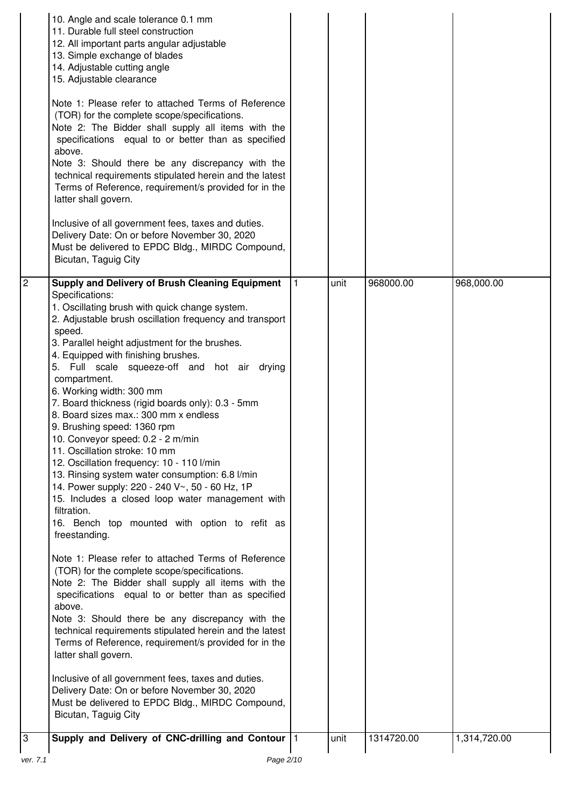|                | 10. Angle and scale tolerance 0.1 mm<br>11. Durable full steel construction<br>12. All important parts angular adjustable<br>13. Simple exchange of blades<br>14. Adjustable cutting angle<br>15. Adjustable clearance                                                                                                                                                                                                                                                                                                                                                                                                                                                                                                                                                                                                                                                          |           |      |            |              |
|----------------|---------------------------------------------------------------------------------------------------------------------------------------------------------------------------------------------------------------------------------------------------------------------------------------------------------------------------------------------------------------------------------------------------------------------------------------------------------------------------------------------------------------------------------------------------------------------------------------------------------------------------------------------------------------------------------------------------------------------------------------------------------------------------------------------------------------------------------------------------------------------------------|-----------|------|------------|--------------|
|                | Note 1: Please refer to attached Terms of Reference<br>(TOR) for the complete scope/specifications.<br>Note 2: The Bidder shall supply all items with the<br>specifications equal to or better than as specified<br>above.<br>Note 3: Should there be any discrepancy with the<br>technical requirements stipulated herein and the latest<br>Terms of Reference, requirement/s provided for in the<br>latter shall govern.                                                                                                                                                                                                                                                                                                                                                                                                                                                      |           |      |            |              |
|                | Inclusive of all government fees, taxes and duties.<br>Delivery Date: On or before November 30, 2020<br>Must be delivered to EPDC Bldg., MIRDC Compound,<br>Bicutan, Taguig City                                                                                                                                                                                                                                                                                                                                                                                                                                                                                                                                                                                                                                                                                                |           |      |            |              |
| $\overline{2}$ | <b>Supply and Delivery of Brush Cleaning Equipment</b><br>Specifications:<br>1. Oscillating brush with quick change system.<br>2. Adjustable brush oscillation frequency and transport<br>speed.<br>3. Parallel height adjustment for the brushes.<br>4. Equipped with finishing brushes.<br>5. Full scale squeeze-off and hot air drying<br>compartment.<br>6. Working width: 300 mm<br>7. Board thickness (rigid boards only): 0.3 - 5mm<br>8. Board sizes max.: 300 mm x endless<br>9. Brushing speed: 1360 rpm<br>10. Conveyor speed: 0.2 - 2 m/min<br>11. Oscillation stroke: 10 mm<br>12. Oscillation frequency: 10 - 110 l/min<br>13. Rinsing system water consumption: 6.8 l/min<br>14. Power supply: 220 - 240 V~, 50 - 60 Hz, 1P<br>15. Includes a closed loop water management with<br>filtration.<br>16. Bench top mounted with option to refit as<br>freestanding. | $\vert$ 1 | unit | 968000.00  | 968,000.00   |
|                | Note 1: Please refer to attached Terms of Reference<br>(TOR) for the complete scope/specifications.<br>Note 2: The Bidder shall supply all items with the<br>specifications equal to or better than as specified<br>above.<br>Note 3: Should there be any discrepancy with the<br>technical requirements stipulated herein and the latest<br>Terms of Reference, requirement/s provided for in the<br>latter shall govern.                                                                                                                                                                                                                                                                                                                                                                                                                                                      |           |      |            |              |
|                | Inclusive of all government fees, taxes and duties.<br>Delivery Date: On or before November 30, 2020<br>Must be delivered to EPDC Bldg., MIRDC Compound,<br>Bicutan, Taguig City                                                                                                                                                                                                                                                                                                                                                                                                                                                                                                                                                                                                                                                                                                |           |      |            |              |
| 3              | Supply and Delivery of CNC-drilling and Contour  1                                                                                                                                                                                                                                                                                                                                                                                                                                                                                                                                                                                                                                                                                                                                                                                                                              |           | unit | 1314720.00 | 1,314,720.00 |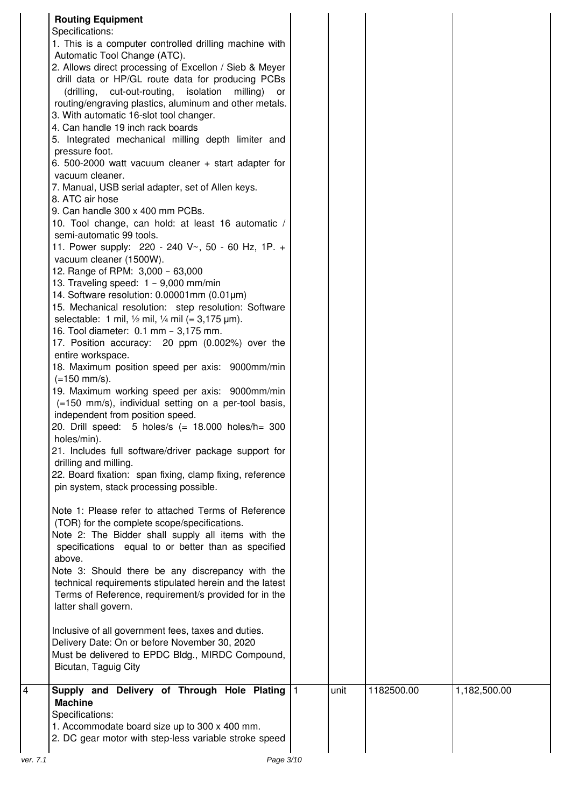| <b>Routing Equipment</b><br>Specifications:<br>1. This is a computer controlled drilling machine with<br>Automatic Tool Change (ATC).<br>2. Allows direct processing of Excellon / Sieb & Meyer<br>drill data or HP/GL route data for producing PCBs<br>(drilling, cut-out-routing, isolation<br>milling)<br>or<br>routing/engraving plastics, aluminum and other metals.<br>3. With automatic 16-slot tool changer.<br>4. Can handle 19 inch rack boards<br>5. Integrated mechanical milling depth limiter and<br>pressure foot.<br>6. 500-2000 watt vacuum cleaner + start adapter for<br>vacuum cleaner.<br>7. Manual, USB serial adapter, set of Allen keys.<br>8. ATC air hose<br>9. Can handle 300 x 400 mm PCBs.<br>10. Tool change, can hold: at least 16 automatic /<br>semi-automatic 99 tools.<br>11. Power supply: 220 - 240 V~, 50 - 60 Hz, 1P. +<br>vacuum cleaner (1500W).<br>12. Range of RPM: 3,000 - 63,000<br>13. Traveling speed: 1 - 9,000 mm/min<br>14. Software resolution: $0.00001$ mm ( $0.01$ µm)<br>15. Mechanical resolution: step resolution: Software<br>selectable: 1 mil, $\frac{1}{2}$ mil, $\frac{1}{4}$ mil (= 3,175 $\mu$ m).<br>16. Tool diameter: 0.1 mm - 3,175 mm.<br>17. Position accuracy: 20 ppm (0.002%) over the<br>entire workspace.<br>18. Maximum position speed per axis: 9000mm/min<br>$(=150$ mm/s).<br>19. Maximum working speed per axis: 9000mm/min<br>(=150 mm/s), individual setting on a per-tool basis,<br>independent from position speed.<br>20. Drill speed: 5 holes/s (= 18.000 holes/h= 300<br>holes/min).<br>21. Includes full software/driver package support for<br>drilling and milling.<br>22. Board fixation: span fixing, clamp fixing, reference<br>pin system, stack processing possible.<br>Note 1: Please refer to attached Terms of Reference<br>(TOR) for the complete scope/specifications.<br>Note 2: The Bidder shall supply all items with the |           |      |            |              |
|---------------------------------------------------------------------------------------------------------------------------------------------------------------------------------------------------------------------------------------------------------------------------------------------------------------------------------------------------------------------------------------------------------------------------------------------------------------------------------------------------------------------------------------------------------------------------------------------------------------------------------------------------------------------------------------------------------------------------------------------------------------------------------------------------------------------------------------------------------------------------------------------------------------------------------------------------------------------------------------------------------------------------------------------------------------------------------------------------------------------------------------------------------------------------------------------------------------------------------------------------------------------------------------------------------------------------------------------------------------------------------------------------------------------------------------------------------------------------------------------------------------------------------------------------------------------------------------------------------------------------------------------------------------------------------------------------------------------------------------------------------------------------------------------------------------------------------------------------------------------------------------------------------------------------------|-----------|------|------------|--------------|
| specifications equal to or better than as specified<br>above.<br>Note 3: Should there be any discrepancy with the<br>technical requirements stipulated herein and the latest<br>Terms of Reference, requirement/s provided for in the<br>latter shall govern.                                                                                                                                                                                                                                                                                                                                                                                                                                                                                                                                                                                                                                                                                                                                                                                                                                                                                                                                                                                                                                                                                                                                                                                                                                                                                                                                                                                                                                                                                                                                                                                                                                                                   |           |      |            |              |
| Inclusive of all government fees, taxes and duties.<br>Delivery Date: On or before November 30, 2020<br>Must be delivered to EPDC Bldg., MIRDC Compound,<br>Bicutan, Taguig City                                                                                                                                                                                                                                                                                                                                                                                                                                                                                                                                                                                                                                                                                                                                                                                                                                                                                                                                                                                                                                                                                                                                                                                                                                                                                                                                                                                                                                                                                                                                                                                                                                                                                                                                                |           |      |            |              |
| Supply and Delivery of Through Hole Plating<br><b>Machine</b><br>Specifications:<br>1. Accommodate board size up to 300 x 400 mm.<br>2. DC gear motor with step-less variable stroke speed                                                                                                                                                                                                                                                                                                                                                                                                                                                                                                                                                                                                                                                                                                                                                                                                                                                                                                                                                                                                                                                                                                                                                                                                                                                                                                                                                                                                                                                                                                                                                                                                                                                                                                                                      | $\vert$ 1 | unit | 1182500.00 | 1,182,500.00 |
| Page 3/10<br>ver. 7.1                                                                                                                                                                                                                                                                                                                                                                                                                                                                                                                                                                                                                                                                                                                                                                                                                                                                                                                                                                                                                                                                                                                                                                                                                                                                                                                                                                                                                                                                                                                                                                                                                                                                                                                                                                                                                                                                                                           |           |      |            |              |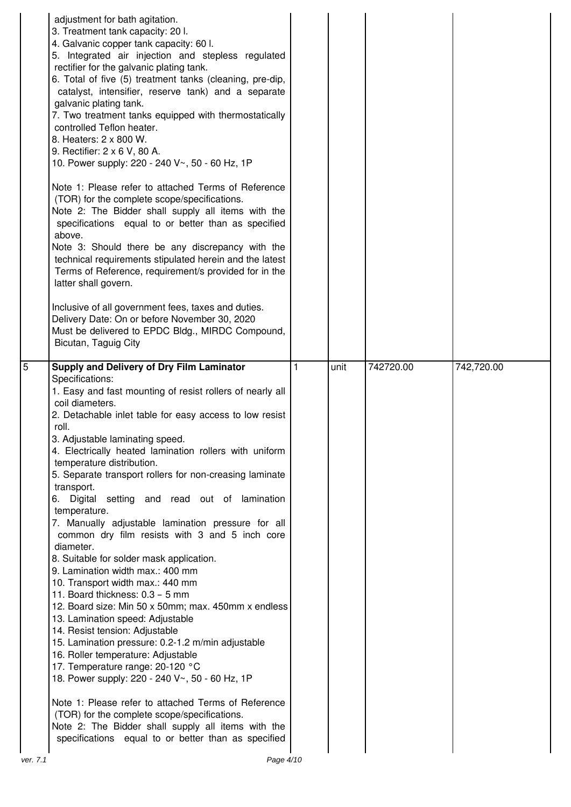|                | adjustment for bath agitation.<br>3. Treatment tank capacity: 20 l.<br>4. Galvanic copper tank capacity: 60 l.<br>5. Integrated air injection and stepless regulated<br>rectifier for the galvanic plating tank.<br>6. Total of five (5) treatment tanks (cleaning, pre-dip,<br>catalyst, intensifier, reserve tank) and a separate<br>galvanic plating tank.<br>7. Two treatment tanks equipped with thermostatically<br>controlled Teflon heater.<br>8. Heaters: 2 x 800 W.<br>9. Rectifier: 2 x 6 V, 80 A.<br>10. Power supply: 220 - 240 V~, 50 - 60 Hz, 1P<br>Note 1: Please refer to attached Terms of Reference<br>(TOR) for the complete scope/specifications.<br>Note 2: The Bidder shall supply all items with the<br>specifications equal to or better than as specified<br>above.<br>Note 3: Should there be any discrepancy with the<br>technical requirements stipulated herein and the latest<br>Terms of Reference, requirement/s provided for in the<br>latter shall govern.<br>Inclusive of all government fees, taxes and duties.<br>Delivery Date: On or before November 30, 2020<br>Must be delivered to EPDC Bldg., MIRDC Compound,<br>Bicutan, Taguig City |   |      |           |            |
|----------------|-----------------------------------------------------------------------------------------------------------------------------------------------------------------------------------------------------------------------------------------------------------------------------------------------------------------------------------------------------------------------------------------------------------------------------------------------------------------------------------------------------------------------------------------------------------------------------------------------------------------------------------------------------------------------------------------------------------------------------------------------------------------------------------------------------------------------------------------------------------------------------------------------------------------------------------------------------------------------------------------------------------------------------------------------------------------------------------------------------------------------------------------------------------------------------------|---|------|-----------|------------|
| $\overline{5}$ | Supply and Delivery of Dry Film Laminator<br>Specifications:<br>1. Easy and fast mounting of resist rollers of nearly all<br>coil diameters.<br>2. Detachable inlet table for easy access to low resist<br>roll.<br>3. Adjustable laminating speed.<br>4. Electrically heated lamination rollers with uniform<br>temperature distribution.<br>5. Separate transport rollers for non-creasing laminate<br>transport.<br>6. Digital setting and read out of lamination<br>temperature.<br>7. Manually adjustable lamination pressure for all<br>common dry film resists with 3 and 5 inch core<br>diameter.<br>8. Suitable for solder mask application.<br>9. Lamination width max.: 400 mm<br>10. Transport width max.: 440 mm<br>11. Board thickness: 0.3 - 5 mm<br>12. Board size: Min 50 x 50mm; max. 450mm x endless                                                                                                                                                                                                                                                                                                                                                           | 1 | unit | 742720.00 | 742,720.00 |
|                | 13. Lamination speed: Adjustable<br>14. Resist tension: Adjustable<br>15. Lamination pressure: 0.2-1.2 m/min adjustable<br>16. Roller temperature: Adjustable<br>17. Temperature range: 20-120 °C<br>18. Power supply: 220 - 240 V~, 50 - 60 Hz, 1P<br>Note 1: Please refer to attached Terms of Reference<br>(TOR) for the complete scope/specifications.<br>Note 2: The Bidder shall supply all items with the                                                                                                                                                                                                                                                                                                                                                                                                                                                                                                                                                                                                                                                                                                                                                                  |   |      |           |            |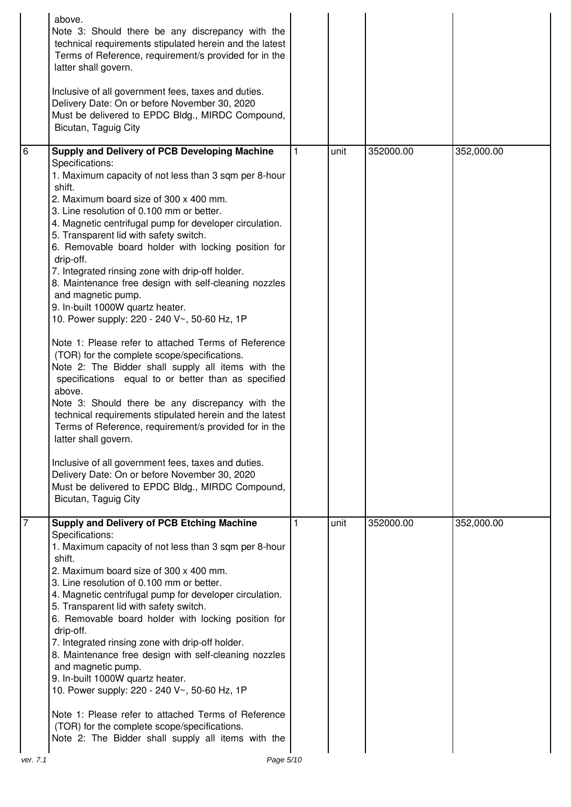|                | above.<br>Note 3: Should there be any discrepancy with the<br>technical requirements stipulated herein and the latest<br>Terms of Reference, requirement/s provided for in the<br>latter shall govern.<br>Inclusive of all government fees, taxes and duties.<br>Delivery Date: On or before November 30, 2020<br>Must be delivered to EPDC Bldg., MIRDC Compound,<br>Bicutan, Taguig City                                                                                                                                                                                                                                                                                                                                                                                                                                                                                                                                                                                                                                                                                                                                                                                                                                                   |   |      |           |            |
|----------------|----------------------------------------------------------------------------------------------------------------------------------------------------------------------------------------------------------------------------------------------------------------------------------------------------------------------------------------------------------------------------------------------------------------------------------------------------------------------------------------------------------------------------------------------------------------------------------------------------------------------------------------------------------------------------------------------------------------------------------------------------------------------------------------------------------------------------------------------------------------------------------------------------------------------------------------------------------------------------------------------------------------------------------------------------------------------------------------------------------------------------------------------------------------------------------------------------------------------------------------------|---|------|-----------|------------|
| 6              | Supply and Delivery of PCB Developing Machine<br>Specifications:<br>1. Maximum capacity of not less than 3 sqm per 8-hour<br>shift.<br>2. Maximum board size of 300 x 400 mm.<br>3. Line resolution of 0.100 mm or better.<br>4. Magnetic centrifugal pump for developer circulation.<br>5. Transparent lid with safety switch.<br>6. Removable board holder with locking position for<br>drip-off.<br>7. Integrated rinsing zone with drip-off holder.<br>8. Maintenance free design with self-cleaning nozzles<br>and magnetic pump.<br>9. In-built 1000W quartz heater.<br>10. Power supply: 220 - 240 V~, 50-60 Hz, 1P<br>Note 1: Please refer to attached Terms of Reference<br>(TOR) for the complete scope/specifications.<br>Note 2: The Bidder shall supply all items with the<br>specifications equal to or better than as specified<br>above.<br>Note 3: Should there be any discrepancy with the<br>technical requirements stipulated herein and the latest<br>Terms of Reference, requirement/s provided for in the<br>latter shall govern.<br>Inclusive of all government fees, taxes and duties.<br>Delivery Date: On or before November 30, 2020<br>Must be delivered to EPDC Bldg., MIRDC Compound,<br>Bicutan, Taguig City | 1 | unit | 352000.00 | 352,000.00 |
| 17<br>ver. 7.1 | <b>Supply and Delivery of PCB Etching Machine</b><br>Specifications:<br>1. Maximum capacity of not less than 3 sqm per 8-hour<br>shift.<br>2. Maximum board size of 300 x 400 mm.<br>3. Line resolution of 0.100 mm or better.<br>4. Magnetic centrifugal pump for developer circulation.<br>5. Transparent lid with safety switch.<br>6. Removable board holder with locking position for<br>drip-off.<br>7. Integrated rinsing zone with drip-off holder.<br>8. Maintenance free design with self-cleaning nozzles<br>and magnetic pump.<br>9. In-built 1000W quartz heater.<br>10. Power supply: 220 - 240 V~, 50-60 Hz, 1P<br>Note 1: Please refer to attached Terms of Reference<br>(TOR) for the complete scope/specifications.<br>Note 2: The Bidder shall supply all items with the<br>Page 5/10                                                                                                                                                                                                                                                                                                                                                                                                                                     |   | unit | 352000.00 | 352,000.00 |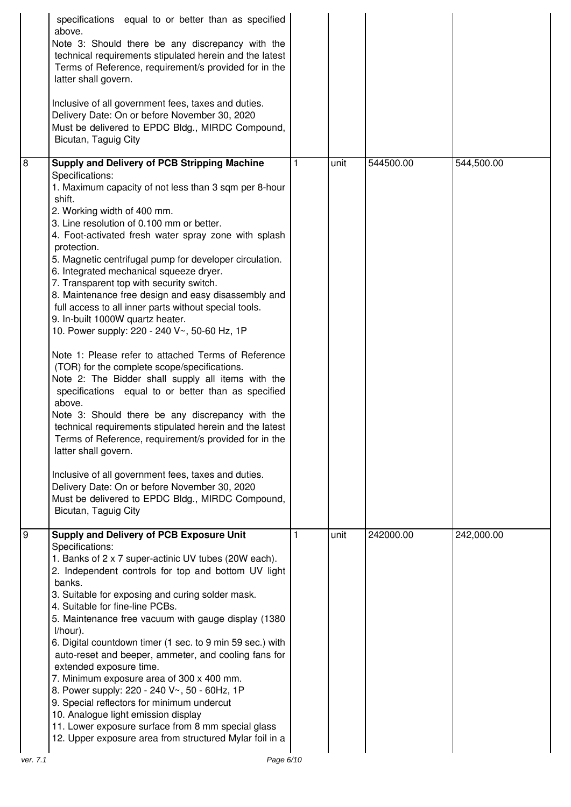|          | specifications equal to or better than as specified<br>above.<br>Note 3: Should there be any discrepancy with the<br>technical requirements stipulated herein and the latest<br>Terms of Reference, requirement/s provided for in the<br>latter shall govern.<br>Inclusive of all government fees, taxes and duties.<br>Delivery Date: On or before November 30, 2020<br>Must be delivered to EPDC Bldg., MIRDC Compound,<br>Bicutan, Taguig City                                                                                                                                                                                                                                                                                                                                                 |      |           |            |
|----------|---------------------------------------------------------------------------------------------------------------------------------------------------------------------------------------------------------------------------------------------------------------------------------------------------------------------------------------------------------------------------------------------------------------------------------------------------------------------------------------------------------------------------------------------------------------------------------------------------------------------------------------------------------------------------------------------------------------------------------------------------------------------------------------------------|------|-----------|------------|
| 8        | <b>Supply and Delivery of PCB Stripping Machine</b><br>Specifications:<br>1. Maximum capacity of not less than 3 sqm per 8-hour                                                                                                                                                                                                                                                                                                                                                                                                                                                                                                                                                                                                                                                                   | unit | 544500.00 | 544,500.00 |
|          | shift.<br>2. Working width of 400 mm.<br>3. Line resolution of 0.100 mm or better.<br>4. Foot-activated fresh water spray zone with splash<br>protection.<br>5. Magnetic centrifugal pump for developer circulation.<br>6. Integrated mechanical squeeze dryer.<br>7. Transparent top with security switch.<br>8. Maintenance free design and easy disassembly and<br>full access to all inner parts without special tools.<br>9. In-built 1000W quartz heater.<br>10. Power supply: 220 - 240 V~, 50-60 Hz, 1P                                                                                                                                                                                                                                                                                   |      |           |            |
|          | Note 1: Please refer to attached Terms of Reference<br>(TOR) for the complete scope/specifications.<br>Note 2: The Bidder shall supply all items with the<br>specifications equal to or better than as specified<br>above.<br>Note 3: Should there be any discrepancy with the<br>technical requirements stipulated herein and the latest<br>Terms of Reference, requirement/s provided for in the<br>latter shall govern.                                                                                                                                                                                                                                                                                                                                                                        |      |           |            |
|          | Inclusive of all government fees, taxes and duties.<br>Delivery Date: On or before November 30, 2020<br>Must be delivered to EPDC Bldg., MIRDC Compound,<br>Bicutan, Taguig City                                                                                                                                                                                                                                                                                                                                                                                                                                                                                                                                                                                                                  |      |           |            |
| g        | Supply and Delivery of PCB Exposure Unit<br>Specifications:<br>1. Banks of 2 x 7 super-actinic UV tubes (20W each).<br>2. Independent controls for top and bottom UV light<br>banks.<br>3. Suitable for exposing and curing solder mask.<br>4. Suitable for fine-line PCBs.<br>5. Maintenance free vacuum with gauge display (1380<br>I/hour).<br>6. Digital countdown timer (1 sec. to 9 min 59 sec.) with<br>auto-reset and beeper, ammeter, and cooling fans for<br>extended exposure time.<br>7. Minimum exposure area of 300 x 400 mm.<br>8. Power supply: 220 - 240 V~, 50 - 60Hz, 1P<br>9. Special reflectors for minimum undercut<br>10. Analogue light emission display<br>11. Lower exposure surface from 8 mm special glass<br>12. Upper exposure area from structured Mylar foil in a | unit | 242000.00 | 242,000.00 |
| ver. 7.1 | Page 6/10                                                                                                                                                                                                                                                                                                                                                                                                                                                                                                                                                                                                                                                                                                                                                                                         |      |           |            |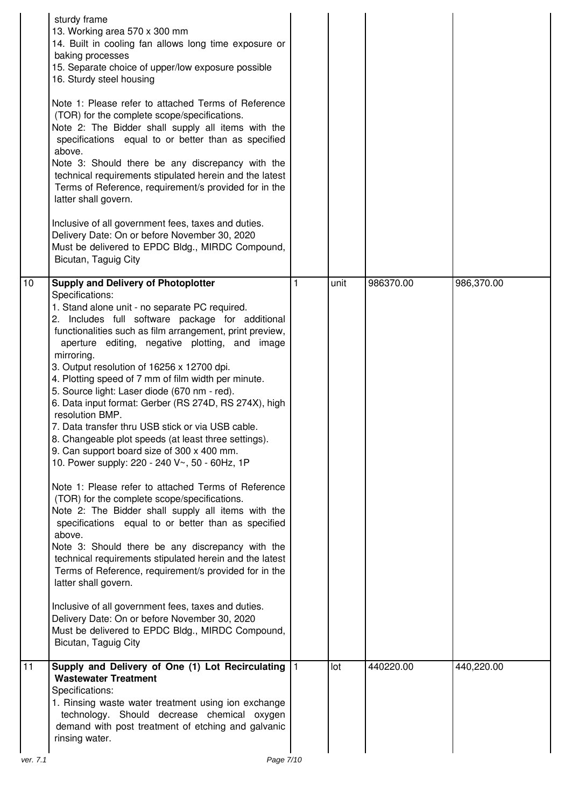|          | sturdy frame<br>13. Working area 570 x 300 mm<br>14. Built in cooling fan allows long time exposure or<br>baking processes<br>15. Separate choice of upper/low exposure possible<br>16. Sturdy steel housing<br>Note 1: Please refer to attached Terms of Reference<br>(TOR) for the complete scope/specifications.<br>Note 2: The Bidder shall supply all items with the<br>specifications equal to or better than as specified<br>above.<br>Note 3: Should there be any discrepancy with the<br>technical requirements stipulated herein and the latest<br>Terms of Reference, requirement/s provided for in the<br>latter shall govern.<br>Inclusive of all government fees, taxes and duties.<br>Delivery Date: On or before November 30, 2020<br>Must be delivered to EPDC Bldg., MIRDC Compound,<br>Bicutan, Taguig City                                                                                                                                                                                                                                                                                                                                                                                                                                                                                                                                 |   |      |           |            |
|----------|----------------------------------------------------------------------------------------------------------------------------------------------------------------------------------------------------------------------------------------------------------------------------------------------------------------------------------------------------------------------------------------------------------------------------------------------------------------------------------------------------------------------------------------------------------------------------------------------------------------------------------------------------------------------------------------------------------------------------------------------------------------------------------------------------------------------------------------------------------------------------------------------------------------------------------------------------------------------------------------------------------------------------------------------------------------------------------------------------------------------------------------------------------------------------------------------------------------------------------------------------------------------------------------------------------------------------------------------------------------|---|------|-----------|------------|
| 10       | <b>Supply and Delivery of Photoplotter</b><br>Specifications:<br>1. Stand alone unit - no separate PC required.<br>2. Includes full software package for additional<br>functionalities such as film arrangement, print preview,<br>aperture editing, negative plotting, and image<br>mirroring.<br>3. Output resolution of 16256 x 12700 dpi.<br>4. Plotting speed of 7 mm of film width per minute.<br>5. Source light: Laser diode (670 nm - red).<br>6. Data input format: Gerber (RS 274D, RS 274X), high<br>resolution BMP.<br>7. Data transfer thru USB stick or via USB cable.<br>8. Changeable plot speeds (at least three settings).<br>9. Can support board size of 300 x 400 mm.<br>10. Power supply: 220 - 240 V~, 50 - 60Hz, 1P<br>Note 1: Please refer to attached Terms of Reference<br>(TOR) for the complete scope/specifications.<br>Note 2: The Bidder shall supply all items with the<br>specifications equal to or better than as specified<br>above.<br>Note 3: Should there be any discrepancy with the<br>technical requirements stipulated herein and the latest<br>Terms of Reference, requirement/s provided for in the<br>latter shall govern.<br>Inclusive of all government fees, taxes and duties.<br>Delivery Date: On or before November 30, 2020<br>Must be delivered to EPDC Bldg., MIRDC Compound,<br>Bicutan, Taguig City | 1 | unit | 986370.00 | 986,370.00 |
| 11       | Supply and Delivery of One (1) Lot Recirculating  1<br><b>Wastewater Treatment</b><br>Specifications:<br>1. Rinsing waste water treatment using ion exchange<br>technology. Should decrease chemical oxygen<br>demand with post treatment of etching and galvanic<br>rinsing water.                                                                                                                                                                                                                                                                                                                                                                                                                                                                                                                                                                                                                                                                                                                                                                                                                                                                                                                                                                                                                                                                            |   | lot  | 440220.00 | 440,220.00 |
| ver. 7.1 | Page 7/10                                                                                                                                                                                                                                                                                                                                                                                                                                                                                                                                                                                                                                                                                                                                                                                                                                                                                                                                                                                                                                                                                                                                                                                                                                                                                                                                                      |   |      |           |            |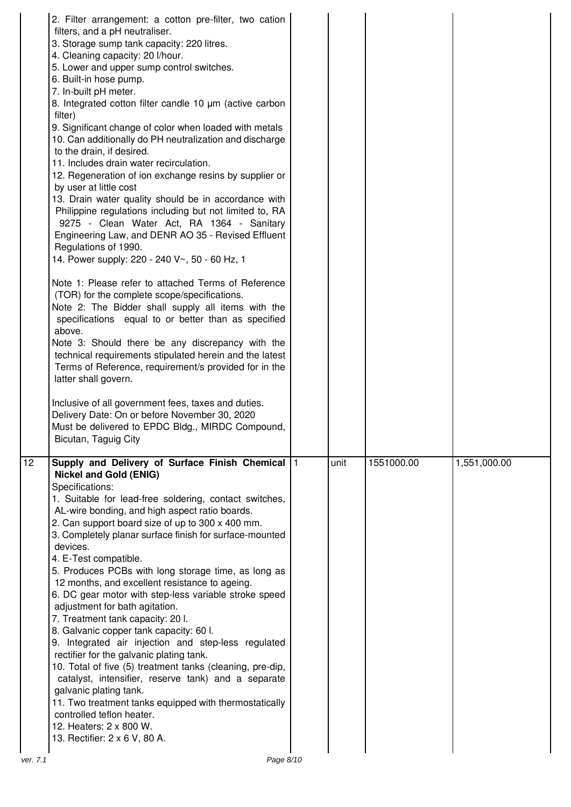|                | 2. Filter arrangement: a cotton pre-filter, two cation<br>filters, and a pH neutraliser.<br>3. Storage sump tank capacity: 220 litres.<br>4. Cleaning capacity: 20 I/hour.<br>5. Lower and upper sump control switches.<br>6. Built-in hose pump.<br>7. In-built pH meter.<br>8. Integrated cotton filter candle 10 µm (active carbon<br>filter)<br>9. Significant change of color when loaded with metals<br>10. Can additionally do PH neutralization and discharge<br>to the drain, if desired.<br>11. Includes drain water recirculation.<br>12. Regeneration of ion exchange resins by supplier or<br>by user at little cost<br>13. Drain water quality should be in accordance with<br>Philippine regulations including but not limited to, RA<br>9275 - Clean Water Act, RA 1364 - Sanitary<br>Engineering Law, and DENR AO 35 - Revised Effluent<br>Regulations of 1990.<br>14. Power supply: 220 - 240 V~, 50 - 60 Hz, 1<br>Note 1: Please refer to attached Terms of Reference<br>(TOR) for the complete scope/specifications.<br>Note 2: The Bidder shall supply all items with the<br>specifications equal to or better than as specified<br>above.<br>Note 3: Should there be any discrepancy with the<br>technical requirements stipulated herein and the latest<br>Terms of Reference, requirement/s provided for in the<br>latter shall govern.<br>Inclusive of all government fees, taxes and duties. |      |            |              |
|----------------|------------------------------------------------------------------------------------------------------------------------------------------------------------------------------------------------------------------------------------------------------------------------------------------------------------------------------------------------------------------------------------------------------------------------------------------------------------------------------------------------------------------------------------------------------------------------------------------------------------------------------------------------------------------------------------------------------------------------------------------------------------------------------------------------------------------------------------------------------------------------------------------------------------------------------------------------------------------------------------------------------------------------------------------------------------------------------------------------------------------------------------------------------------------------------------------------------------------------------------------------------------------------------------------------------------------------------------------------------------------------------------------------------------------------|------|------------|--------------|
|                | Delivery Date: On or before November 30, 2020<br>Must be delivered to EPDC Bldg., MIRDC Compound,<br>Bicutan, Taguig City                                                                                                                                                                                                                                                                                                                                                                                                                                                                                                                                                                                                                                                                                                                                                                                                                                                                                                                                                                                                                                                                                                                                                                                                                                                                                              |      |            |              |
|                |                                                                                                                                                                                                                                                                                                                                                                                                                                                                                                                                                                                                                                                                                                                                                                                                                                                                                                                                                                                                                                                                                                                                                                                                                                                                                                                                                                                                                        |      |            |              |
| 12<br>ver. 7.1 | Supply and Delivery of Surface Finish Chemical  1<br><b>Nickel and Gold (ENIG)</b><br>Specifications:<br>1. Suitable for lead-free soldering, contact switches,<br>AL-wire bonding, and high aspect ratio boards.<br>2. Can support board size of up to 300 x 400 mm.<br>3. Completely planar surface finish for surface-mounted<br>devices.<br>4. E-Test compatible.<br>5. Produces PCBs with long storage time, as long as<br>12 months, and excellent resistance to ageing.<br>6. DC gear motor with step-less variable stroke speed<br>adjustment for bath agitation.<br>7. Treatment tank capacity: 20 l.<br>8. Galvanic copper tank capacity: 60 l.<br>9. Integrated air injection and step-less regulated<br>rectifier for the galvanic plating tank.<br>10. Total of five (5) treatment tanks (cleaning, pre-dip,<br>catalyst, intensifier, reserve tank) and a separate<br>galvanic plating tank.<br>11. Two treatment tanks equipped with thermostatically<br>controlled teflon heater.<br>12. Heaters: 2 x 800 W.<br>13. Rectifier: 2 x 6 V, 80 A.<br>Page 8/10                                                                                                                                                                                                                                                                                                                                             | unit | 1551000.00 | 1,551,000.00 |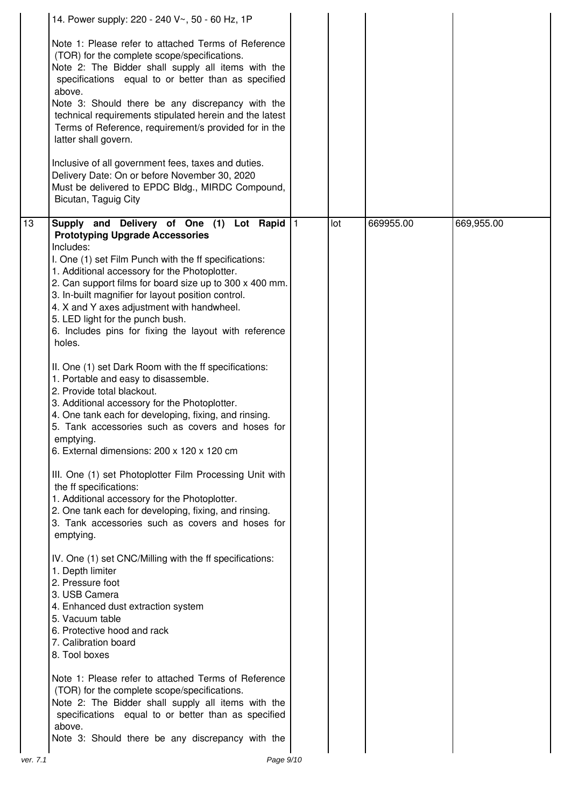|    | 14. Power supply: 220 - 240 V~, 50 - 60 Hz, 1P                                                                                                                                                                                                                                                                                                                                                                                                                                                                                                                                                                 |     |           |            |
|----|----------------------------------------------------------------------------------------------------------------------------------------------------------------------------------------------------------------------------------------------------------------------------------------------------------------------------------------------------------------------------------------------------------------------------------------------------------------------------------------------------------------------------------------------------------------------------------------------------------------|-----|-----------|------------|
|    | Note 1: Please refer to attached Terms of Reference<br>(TOR) for the complete scope/specifications.<br>Note 2: The Bidder shall supply all items with the<br>specifications equal to or better than as specified<br>above.<br>Note 3: Should there be any discrepancy with the<br>technical requirements stipulated herein and the latest<br>Terms of Reference, requirement/s provided for in the<br>latter shall govern.<br>Inclusive of all government fees, taxes and duties.<br>Delivery Date: On or before November 30, 2020<br>Must be delivered to EPDC Bldg., MIRDC Compound,<br>Bicutan, Taguig City |     |           |            |
| 13 | Supply and Delivery of One (1) Lot Rapid 1                                                                                                                                                                                                                                                                                                                                                                                                                                                                                                                                                                     | lot | 669955.00 | 669,955.00 |
|    | <b>Prototyping Upgrade Accessories</b><br>Includes:<br>I. One (1) set Film Punch with the ff specifications:<br>1. Additional accessory for the Photoplotter.<br>2. Can support films for board size up to 300 x 400 mm.<br>3. In-built magnifier for layout position control.<br>4. X and Y axes adjustment with handwheel.<br>5. LED light for the punch bush.<br>6. Includes pins for fixing the layout with reference<br>holes.                                                                                                                                                                            |     |           |            |
|    | II. One (1) set Dark Room with the ff specifications:<br>1. Portable and easy to disassemble.<br>2. Provide total blackout.<br>3. Additional accessory for the Photoplotter.<br>4. One tank each for developing, fixing, and rinsing.<br>5. Tank accessories such as covers and hoses for<br>emptying.<br>6. External dimensions: 200 x 120 x 120 cm                                                                                                                                                                                                                                                           |     |           |            |
|    | III. One (1) set Photoplotter Film Processing Unit with<br>the ff specifications:<br>1. Additional accessory for the Photoplotter.<br>2. One tank each for developing, fixing, and rinsing.<br>3. Tank accessories such as covers and hoses for<br>emptying.                                                                                                                                                                                                                                                                                                                                                   |     |           |            |
|    | IV. One (1) set CNC/Milling with the ff specifications:<br>1. Depth limiter<br>2. Pressure foot<br>3. USB Camera<br>4. Enhanced dust extraction system<br>5. Vacuum table<br>6. Protective hood and rack<br>7. Calibration board<br>8. Tool boxes                                                                                                                                                                                                                                                                                                                                                              |     |           |            |
|    | Note 1: Please refer to attached Terms of Reference<br>(TOR) for the complete scope/specifications.<br>Note 2: The Bidder shall supply all items with the<br>specifications equal to or better than as specified<br>above.<br>Note 3: Should there be any discrepancy with the                                                                                                                                                                                                                                                                                                                                 |     |           |            |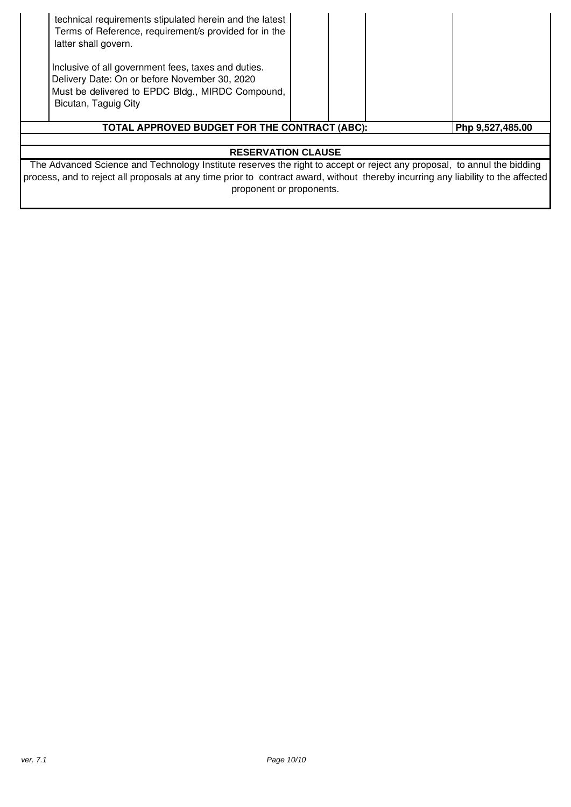| technical requirements stipulated herein and the latest<br>Terms of Reference, requirement/s provided for in the<br>latter shall govern.<br>Inclusive of all government fees, taxes and duties.<br>Delivery Date: On or before November 30, 2020<br>Must be delivered to EPDC Bldg., MIRDC Compound,<br>Bicutan, Taguig City |  |  |                  |
|------------------------------------------------------------------------------------------------------------------------------------------------------------------------------------------------------------------------------------------------------------------------------------------------------------------------------|--|--|------------------|
| TOTAL APPROVED BUDGET FOR THE CONTRACT (ABC):                                                                                                                                                                                                                                                                                |  |  | Php 9,527,485.00 |
|                                                                                                                                                                                                                                                                                                                              |  |  |                  |
| <b>RESERVATION CLAUSE</b>                                                                                                                                                                                                                                                                                                    |  |  |                  |
| The Advanced Science and Technology Institute reserves the right to accept or reject any proposal, to annul the bidding<br>process, and to reject all proposals at any time prior to contract award, without thereby incurring any liability to the affected                                                                 |  |  |                  |

proponent or proponents.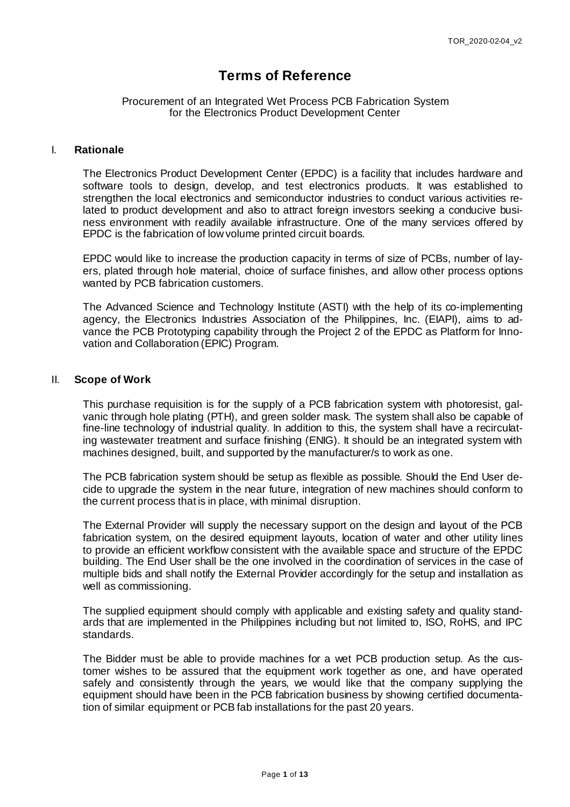## **Terms of Reference**

#### Procurement of an Integrated Wet Process PCB Fabrication System for the Electronics Product Development Center

#### I. **Rationale**

The Electronics Product Development Center (EPDC) is a facility that includes hardware and software tools to design, develop, and test electronics products. It was established to strengthen the local electronics and semiconductor industries to conduct various activities related to product development and also to attract foreign investors seeking a conducive business environment with readily available infrastructure. One of the many services offered by EPDC is the fabrication of lowvolume printed circuit boards.

EPDC would like to increase the production capacity in terms of size of PCBs, number of layers, plated through hole material, choice of surface finishes, and allow other process options wanted by PCB fabrication customers.

The Advanced Science and Technology Institute (ASTI) with the help of its co-implementing agency, the Electronics Industries Association of the Philippines, Inc. (EIAPI), aims to advance the PCB Prototyping capability through the Project 2 of the EPDC as Platform for Innovation and Collaboration (EPIC) Program.

#### II. **Scope of Work**

This purchase requisition is for the supply of a PCB fabrication system with photoresist, galvanic through hole plating (PTH), and green solder mask. The system shall also be capable of fine-line technology of industrial quality. In addition to this, the system shall have a recirculating wastewater treatment and surface finishing (ENIG). It should be an integrated system with machines designed, built, and supported by the manufacturer/s to work as one.

The PCB fabrication system should be setup as flexible as possible. Should the End User decide to upgrade the system in the near future, integration of new machines should conform to the current process that is in place, with minimal disruption.

The External Provider will supply the necessary support on the design and layout of the PCB fabrication system, on the desired equipment layouts, location of water and other utility lines to provide an efficient workflow consistent with the available space and structure of the EPDC building. The End User shall be the one involved in the coordination of services in the case of multiple bids and shall notify the External Provider accordingly for the setup and installation as well as commissioning.

The supplied equipment should comply with applicable and existing safety and quality standards that are implemented in the Philippines including but not limited to, ISO, RoHS, and IPC standards.

The Bidder must be able to provide machines for a wet PCB production setup. As the customer wishes to be assured that the equipment work together as one, and have operated safely and consistently through the years, we would like that the company supplying the equipment should have been in the PCB fabrication business by showing certified documentation of similar equipment or PCB fab installations for the past 20 years.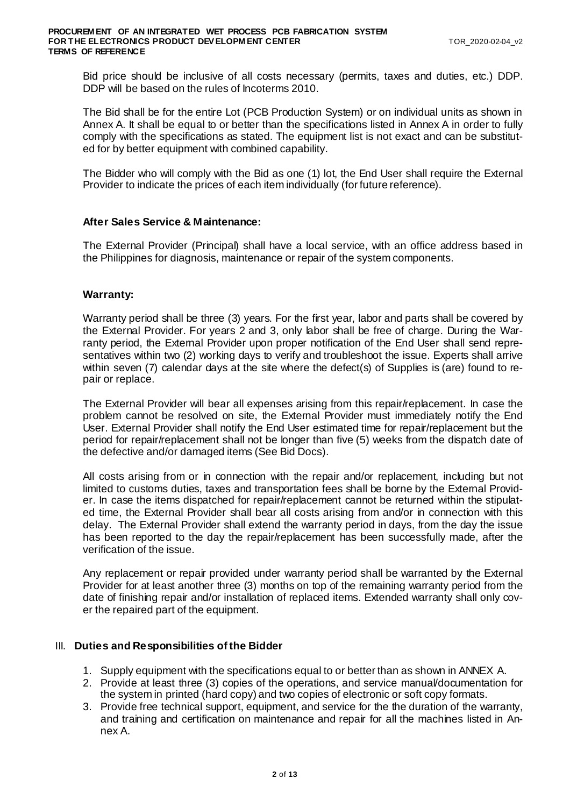Bid price should be inclusive of all costs necessary (permits, taxes and duties, etc.) DDP. DDP will be based on the rules of Incoterms 2010.

The Bid shall be for the entire Lot (PCB Production System) or on individual units as shown in Annex A. It shall be equal to or better than the specifications listed in Annex A in order to fully comply with the specifications as stated. The equipment list is not exact and can be substituted for by better equipment with combined capability.

The Bidder who will comply with the Bid as one (1) lot, the End User shall require the External Provider to indicate the prices of each item individually (for future reference).

#### **After Sales Service & Maintenance:**

The External Provider (Principal) shall have a local service, with an office address based in the Philippines for diagnosis, maintenance or repair of the system components.

#### **Warranty:**

Warranty period shall be three (3) years. For the first year, labor and parts shall be covered by the External Provider. For years 2 and 3, only labor shall be free of charge. During the Warranty period, the External Provider upon proper notification of the End User shall send representatives within two (2) working days to verify and troubleshoot the issue. Experts shall arrive within seven (7) calendar days at the site where the defect(s) of Supplies is (are) found to repair or replace.

The External Provider will bear all expenses arising from this repair/replacement. In case the problem cannot be resolved on site, the External Provider must immediately notify the End User. External Provider shall notify the End User estimated time for repair/replacement but the period for repair/replacement shall not be longer than five (5) weeks from the dispatch date of the defective and/or damaged items (See Bid Docs).

All costs arising from or in connection with the repair and/or replacement, including but not limited to customs duties, taxes and transportation fees shall be borne by the External Provider. In case the items dispatched for repair/replacement cannot be returned within the stipulated time, the External Provider shall bear all costs arising from and/or in connection with this delay. The External Provider shall extend the warranty period in days, from the day the issue has been reported to the day the repair/replacement has been successfully made, after the verification of the issue.

Any replacement or repair provided under warranty period shall be warranted by the External Provider for at least another three (3) months on top of the remaining warranty period from the date of finishing repair and/or installation of replaced items. Extended warranty shall only cover the repaired part of the equipment.

#### III. **Duties and Responsibilities of the Bidder**

- 1. Supply equipment with the specifications equal to or better than as shown in ANNEX A.
- 2. Provide at least three (3) copies of the operations, and service manual/documentation for the system in printed (hard copy) and two copies of electronic or soft copy formats.
- 3. Provide free technical support, equipment, and service for the the duration of the warranty, and training and certification on maintenance and repair for all the machines listed in Annex A.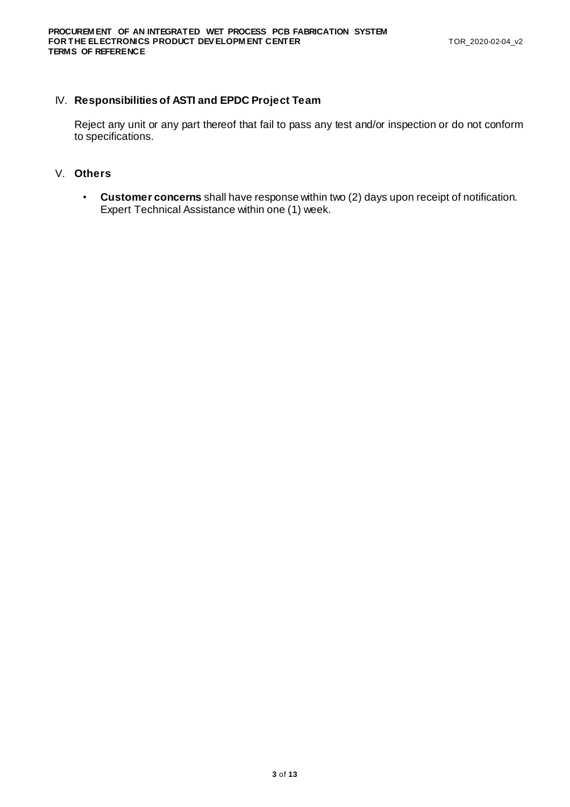#### IV. **Responsibilities of ASTI and EPDC Project Team**

Reject any unit or any part thereof that fail to pass any test and/or inspection or do not conform to specifications.

#### V. **Others**

• **Customer concerns** shall have response within two (2) days upon receipt of notification. Expert Technical Assistance within one (1) week.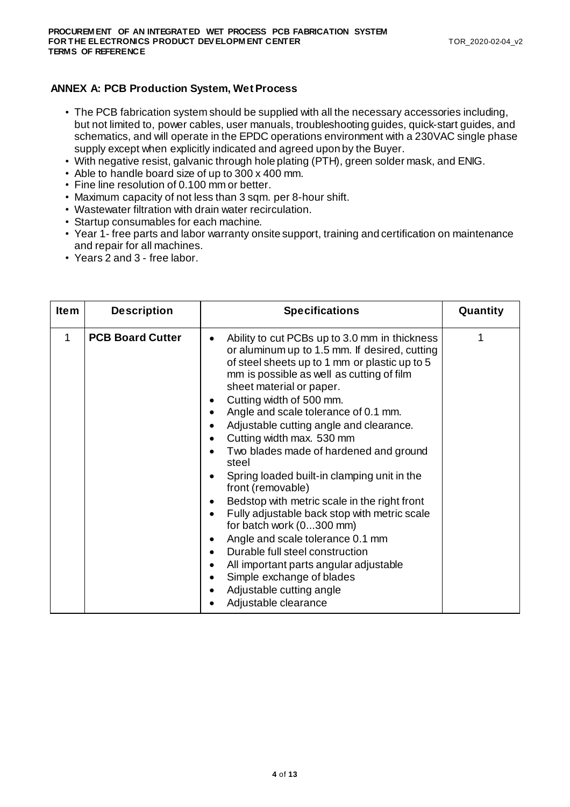#### **ANNEX A: PCB Production System, Wet Process**

- The PCB fabrication system should be supplied with all the necessary accessories including, but not limited to, power cables, user manuals, troubleshooting guides, quick-start guides, and schematics, and will operate in the EPDC operations environment with a 230VAC single phase supply except when explicitly indicated and agreed upon by the Buyer.
- With negative resist, galvanic through hole plating (PTH), green solder mask, and ENIG.
- Able to handle board size of up to 300 x 400 mm.
- Fine line resolution of 0.100 mm or better.
- Maximum capacity of not less than 3 sqm. per 8-hour shift.
- Wastewater filtration with drain water recirculation.
- Startup consumables for each machine.
- Year 1- free parts and labor warranty onsite support, training and certification on maintenance and repair for all machines.
- Years 2 and 3 free labor.

| <b>Item</b>  | <b>Description</b>      | <b>Specifications</b>                                                                                                                                                                                                                                                                                                                                                                                                                                                                                                                                                                                                                                                                                                                                                                                                                                                   | Quantity |
|--------------|-------------------------|-------------------------------------------------------------------------------------------------------------------------------------------------------------------------------------------------------------------------------------------------------------------------------------------------------------------------------------------------------------------------------------------------------------------------------------------------------------------------------------------------------------------------------------------------------------------------------------------------------------------------------------------------------------------------------------------------------------------------------------------------------------------------------------------------------------------------------------------------------------------------|----------|
| $\mathbf{1}$ | <b>PCB Board Cutter</b> | Ability to cut PCBs up to 3.0 mm in thickness<br>or aluminum up to 1.5 mm. If desired, cutting<br>of steel sheets up to 1 mm or plastic up to 5<br>mm is possible as well as cutting of film<br>sheet material or paper.<br>Cutting width of 500 mm.<br>٠<br>Angle and scale tolerance of 0.1 mm.<br>٠<br>Adjustable cutting angle and clearance.<br>Cutting width max. 530 mm<br>Two blades made of hardened and ground<br>steel<br>Spring loaded built-in clamping unit in the<br>front (removable)<br>Bedstop with metric scale in the right front<br>Fully adjustable back stop with metric scale<br>for batch work (0300 mm)<br>Angle and scale tolerance 0.1 mm<br>٠<br>Durable full steel construction<br>$\bullet$<br>All important parts angular adjustable<br>٠<br>Simple exchange of blades<br>$\bullet$<br>Adjustable cutting angle<br>Adjustable clearance |          |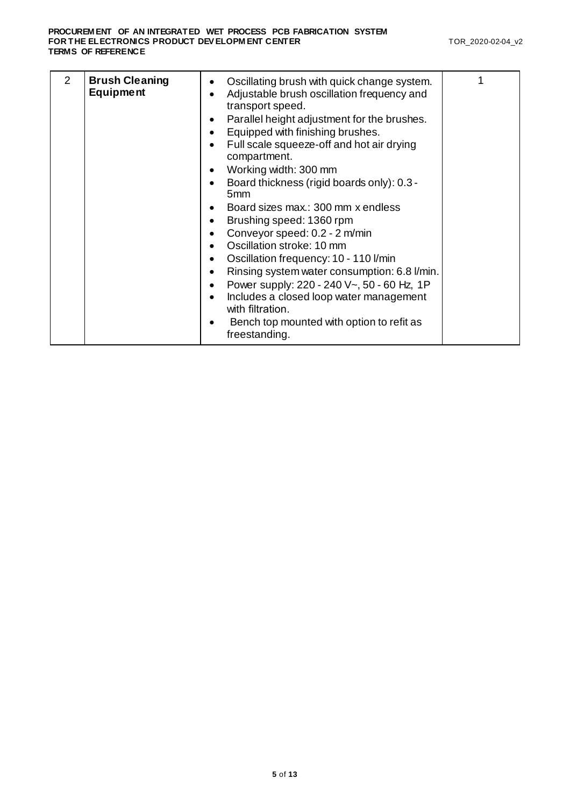| $\mathcal{P}$ | <b>Brush Cleaning</b><br><b>Equipment</b> | Oscillating brush with quick change system.<br>٠<br>Adjustable brush oscillation frequency and<br>٠<br>transport speed.<br>Parallel height adjustment for the brushes.<br>٠<br>Equipped with finishing brushes.<br>Full scale squeeze-off and hot air drying<br>compartment.<br>Working width: 300 mm<br>٠<br>Board thickness (rigid boards only): 0.3 -<br>5 <sub>mm</sub><br>Board sizes max.: 300 mm x endless<br>Brushing speed: 1360 rpm<br>Conveyor speed: 0.2 - 2 m/min<br>Oscillation stroke: 10 mm<br>Oscillation frequency: 10 - 110 l/min<br>Rinsing system water consumption: 6.8 l/min.<br>Power supply: 220 - 240 V~, 50 - 60 Hz, 1P<br>$\bullet$<br>Includes a closed loop water management<br>with filtration.<br>Bench top mounted with option to refit as<br>freestanding. |  |
|---------------|-------------------------------------------|----------------------------------------------------------------------------------------------------------------------------------------------------------------------------------------------------------------------------------------------------------------------------------------------------------------------------------------------------------------------------------------------------------------------------------------------------------------------------------------------------------------------------------------------------------------------------------------------------------------------------------------------------------------------------------------------------------------------------------------------------------------------------------------------|--|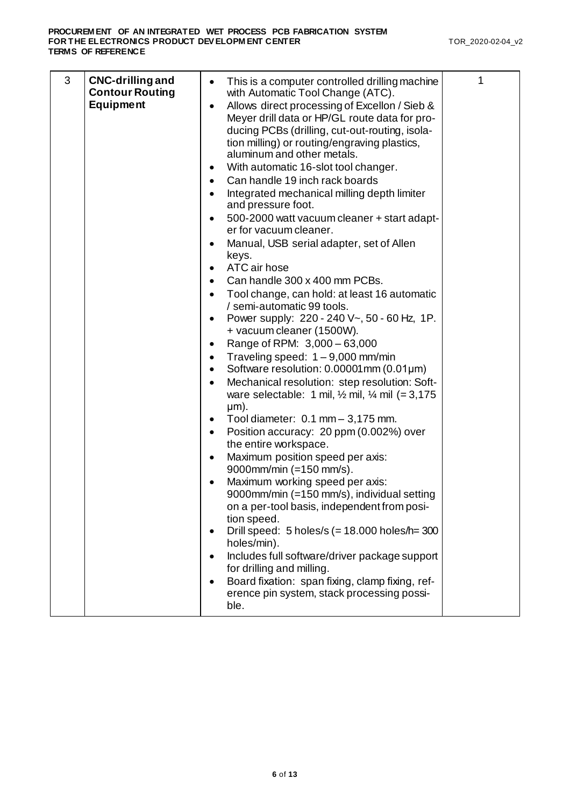| 3 | <b>CNC-drilling and</b>                    | This is a computer controlled drilling machine<br>$\bullet$                                    | 1 |
|---|--------------------------------------------|------------------------------------------------------------------------------------------------|---|
|   | <b>Contour Routing</b><br><b>Equipment</b> | with Automatic Tool Change (ATC).                                                              |   |
|   |                                            | Allows direct processing of Excellon / Sieb &<br>Meyer drill data or HP/GL route data for pro- |   |
|   |                                            | ducing PCBs (drilling, cut-out-routing, isola-                                                 |   |
|   |                                            | tion milling) or routing/engraving plastics,<br>aluminum and other metals.                     |   |
|   |                                            | With automatic 16-slot tool changer.                                                           |   |
|   |                                            | Can handle 19 inch rack boards                                                                 |   |
|   |                                            | Integrated mechanical milling depth limiter                                                    |   |
|   |                                            | and pressure foot.                                                                             |   |
|   |                                            | 500-2000 watt vacuum cleaner + start adapt-<br>er for vacuum cleaner.                          |   |
|   |                                            | Manual, USB serial adapter, set of Allen                                                       |   |
|   |                                            | keys.                                                                                          |   |
|   |                                            | ATC air hose                                                                                   |   |
|   |                                            | Can handle 300 x 400 mm PCBs.<br>Tool change, can hold: at least 16 automatic                  |   |
|   |                                            | / semi-automatic 99 tools.                                                                     |   |
|   |                                            | Power supply: 220 - 240 V~, 50 - 60 Hz, 1P.                                                    |   |
|   |                                            | + vacuum cleaner (1500W).                                                                      |   |
|   |                                            | Range of RPM: 3,000 - 63,000<br>٠<br>Traveling speed: $1 - 9,000$ mm/min                       |   |
|   |                                            | Software resolution: $0.00001$ mm $(0.01 \mu m)$                                               |   |
|   |                                            | Mechanical resolution: step resolution: Soft-                                                  |   |
|   |                                            | ware selectable: 1 mil, $\frac{1}{2}$ mil, $\frac{1}{4}$ mil (= 3,175                          |   |
|   |                                            | $µm$ ).<br>Tool diameter: $0.1$ mm $-3,175$ mm.                                                |   |
|   |                                            | Position accuracy: 20 ppm (0.002%) over                                                        |   |
|   |                                            | the entire workspace.                                                                          |   |
|   |                                            | Maximum position speed per axis:                                                               |   |
|   |                                            | 9000mm/min (=150 mm/s).<br>Maximum working speed per axis:                                     |   |
|   |                                            | 9000mm/min (=150 mm/s), individual setting                                                     |   |
|   |                                            | on a per-tool basis, independent from posi-                                                    |   |
|   |                                            | tion speed.                                                                                    |   |
|   |                                            | Drill speed: $5$ holes/s (= 18.000 holes/h= 300<br>holes/min).                                 |   |
|   |                                            | Includes full software/driver package support                                                  |   |
|   |                                            | for drilling and milling.                                                                      |   |
|   |                                            | Board fixation: span fixing, clamp fixing, ref-<br>erence pin system, stack processing possi-  |   |
|   |                                            | ble.                                                                                           |   |
|   |                                            |                                                                                                |   |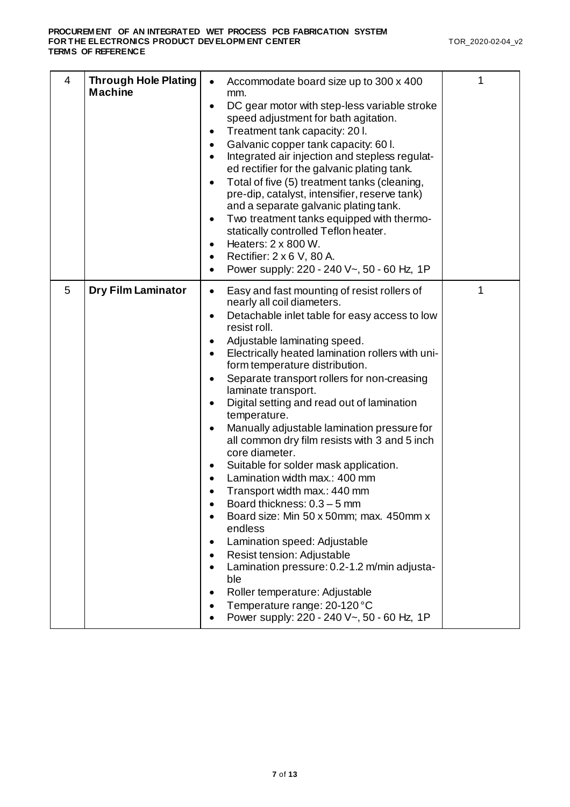| 4 | <b>Through Hole Plating</b><br><b>Machine</b> | Accommodate board size up to 300 x 400<br>mm.<br>DC gear motor with step-less variable stroke<br>$\bullet$<br>speed adjustment for bath agitation.<br>Treatment tank capacity: 20 l.<br>٠<br>Galvanic copper tank capacity: 60 l.<br>Integrated air injection and stepless regulat-<br>ed rectifier for the galvanic plating tank.<br>Total of five (5) treatment tanks (cleaning,<br>$\bullet$<br>pre-dip, catalyst, intensifier, reserve tank)<br>and a separate galvanic plating tank.<br>Two treatment tanks equipped with thermo-<br>$\bullet$<br>statically controlled Teflon heater.<br>Heaters: 2 x 800 W.<br>$\bullet$<br>Rectifier: 2 x 6 V, 80 A.<br>٠<br>Power supply: 220 - 240 V~, 50 - 60 Hz, 1P<br>$\bullet$                                                                                                                                                                                                                                                                                                    | 1 |
|---|-----------------------------------------------|---------------------------------------------------------------------------------------------------------------------------------------------------------------------------------------------------------------------------------------------------------------------------------------------------------------------------------------------------------------------------------------------------------------------------------------------------------------------------------------------------------------------------------------------------------------------------------------------------------------------------------------------------------------------------------------------------------------------------------------------------------------------------------------------------------------------------------------------------------------------------------------------------------------------------------------------------------------------------------------------------------------------------------|---|
| 5 | <b>Dry Film Laminator</b>                     | Easy and fast mounting of resist rollers of<br>$\bullet$<br>nearly all coil diameters.<br>Detachable inlet table for easy access to low<br>$\bullet$<br>resist roll.<br>Adjustable laminating speed.<br>$\bullet$<br>Electrically heated lamination rollers with uni-<br>form temperature distribution.<br>Separate transport rollers for non-creasing<br>$\bullet$<br>laminate transport.<br>Digital setting and read out of lamination<br>temperature.<br>Manually adjustable lamination pressure for<br>$\bullet$<br>all common dry film resists with 3 and 5 inch<br>core diameter.<br>Suitable for solder mask application.<br>Lamination width max.: 400 mm<br>Transport width max.: 440 mm<br>Board thickness: 0.3 - 5 mm<br>Board size: Min 50 x 50mm; max. 450mm x<br>endless<br>Lamination speed: Adjustable<br>٠<br>Resist tension: Adjustable<br>Lamination pressure: 0.2-1.2 m/min adjusta-<br>ble<br>Roller temperature: Adjustable<br>Temperature range: 20-120 °C<br>Power supply: 220 - 240 V~, 50 - 60 Hz, 1P | 1 |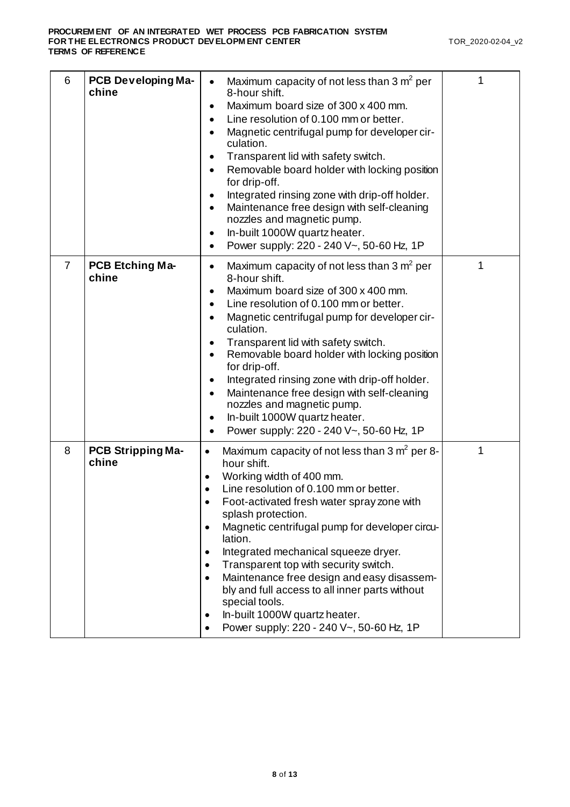| 6              | <b>PCB Developing Ma-</b><br>chine | Maximum capacity of not less than $3 \text{ m}^2$ per<br>8-hour shift.<br>Maximum board size of 300 x 400 mm.<br>Line resolution of 0.100 mm or better.<br>Magnetic centrifugal pump for developer cir-<br>culation.<br>Transparent lid with safety switch.<br>٠<br>Removable board holder with locking position<br>٠<br>for drip-off.<br>Integrated rinsing zone with drip-off holder.<br>Maintenance free design with self-cleaning<br>nozzles and magnetic pump.<br>In-built 1000W quartz heater.<br>$\bullet$<br>Power supply: 220 - 240 V~, 50-60 Hz, 1P                                                                                                       |   |
|----------------|------------------------------------|---------------------------------------------------------------------------------------------------------------------------------------------------------------------------------------------------------------------------------------------------------------------------------------------------------------------------------------------------------------------------------------------------------------------------------------------------------------------------------------------------------------------------------------------------------------------------------------------------------------------------------------------------------------------|---|
| $\overline{7}$ | <b>PCB Etching Ma-</b><br>chine    | Maximum capacity of not less than $3 \text{ m}^2$ per<br>$\bullet$<br>8-hour shift.<br>Maximum board size of 300 x 400 mm.<br>Line resolution of 0.100 mm or better.<br>Magnetic centrifugal pump for developer cir-<br>culation.<br>Transparent lid with safety switch.<br>Removable board holder with locking position<br>for drip-off.<br>Integrated rinsing zone with drip-off holder.<br>Maintenance free design with self-cleaning<br>nozzles and magnetic pump.<br>In-built 1000W quartz heater.<br>Power supply: 220 - 240 V~, 50-60 Hz, 1P                                                                                                                 | 1 |
| 8              | <b>PCB Stripping Ma-</b><br>chine  | Maximum capacity of not less than $3 \text{ m}^2$ per 8-<br>$\bullet$<br>hour shift.<br>Working width of 400 mm.<br>Line resolution of 0.100 mm or better.<br>$\bullet$<br>Foot-activated fresh water spray zone with<br>$\bullet$<br>splash protection.<br>Magnetic centrifugal pump for developer circu-<br>$\bullet$<br>lation.<br>Integrated mechanical squeeze dryer.<br>٠<br>Transparent top with security switch.<br>$\bullet$<br>Maintenance free design and easy disassem-<br>$\bullet$<br>bly and full access to all inner parts without<br>special tools.<br>In-built 1000W quartz heater.<br>٠<br>Power supply: 220 - 240 V~, 50-60 Hz, 1P<br>$\bullet$ | 1 |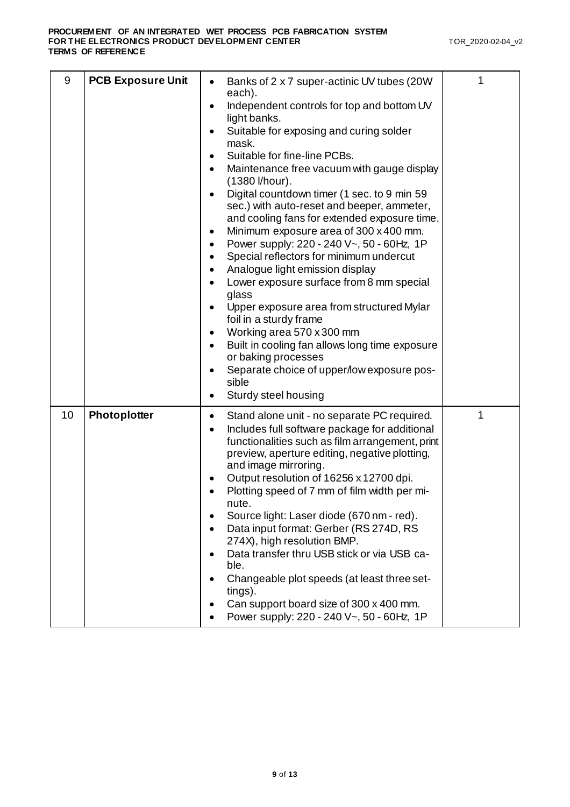| 9  | <b>PCB Exposure Unit</b> | Banks of 2 x 7 super-actinic UV tubes (20W)<br>each).<br>Independent controls for top and bottom UV<br>light banks.<br>Suitable for exposing and curing solder<br>mask.<br>Suitable for fine-line PCBs.<br>Maintenance free vacuum with gauge display<br>(1380 l/hour).<br>Digital countdown timer (1 sec. to 9 min 59<br>sec.) with auto-reset and beeper, ammeter,<br>and cooling fans for extended exposure time.<br>Minimum exposure area of 300 x 400 mm.<br>Power supply: 220 - 240 V~, 50 - 60Hz, 1P<br>Special reflectors for minimum undercut<br>Analogue light emission display<br>Lower exposure surface from 8 mm special<br>glass<br>Upper exposure area from structured Mylar<br>foil in a sturdy frame<br>Working area 570 x 300 mm<br>Built in cooling fan allows long time exposure<br>or baking processes<br>Separate choice of upper/low exposure pos-<br>sible<br>Sturdy steel housing | 1 |
|----|--------------------------|------------------------------------------------------------------------------------------------------------------------------------------------------------------------------------------------------------------------------------------------------------------------------------------------------------------------------------------------------------------------------------------------------------------------------------------------------------------------------------------------------------------------------------------------------------------------------------------------------------------------------------------------------------------------------------------------------------------------------------------------------------------------------------------------------------------------------------------------------------------------------------------------------------|---|
| 10 | Photoplotter             | Stand alone unit - no separate PC required.<br>٠<br>Includes full software package for additional<br>functionalities such as film arrangement, print<br>preview, aperture editing, negative plotting,<br>and image mirroring.<br>Output resolution of 16256 x 12700 dpi.<br>Plotting speed of 7 mm of film width per mi-<br>nute.<br>Source light: Laser diode (670 nm - red).<br>Data input format: Gerber (RS 274D, RS<br>274X), high resolution BMP.<br>Data transfer thru USB stick or via USB ca-<br>ble.<br>Changeable plot speeds (at least three set-<br>tings).<br>Can support board size of 300 x 400 mm.<br>Power supply: 220 - 240 V~, 50 - 60Hz, 1P                                                                                                                                                                                                                                           | 1 |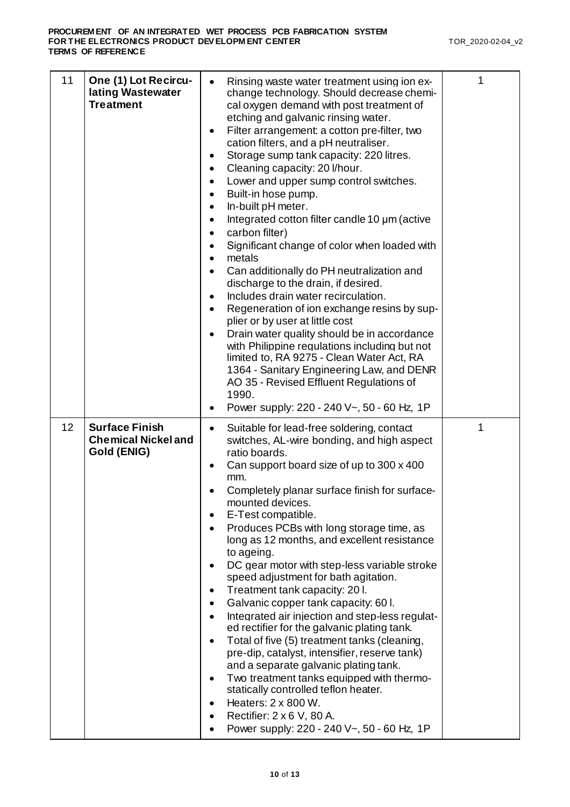| 11 | One (1) Lot Recircu-<br>lating Wastewater<br><b>Treatment</b>      | Rinsing waste water treatment using ion ex-<br>$\bullet$<br>change technology. Should decrease chemi-<br>cal oxygen demand with post treatment of<br>etching and galvanic rinsing water.<br>Filter arrangement: a cotton pre-filter, two<br>٠<br>cation filters, and a pH neutraliser.<br>Storage sump tank capacity: 220 litres.<br>$\bullet$<br>Cleaning capacity: 20 I/hour.<br>$\bullet$<br>Lower and upper sump control switches.<br>Built-in hose pump.<br>In-built pH meter.<br>$\bullet$<br>Integrated cotton filter candle 10 µm (active<br>$\bullet$<br>carbon filter)<br>Significant change of color when loaded with<br>metals<br>Can additionally do PH neutralization and<br>$\bullet$<br>discharge to the drain, if desired.<br>Includes drain water recirculation.<br>Regeneration of ion exchange resins by sup-<br>plier or by user at little cost<br>Drain water quality should be in accordance<br>with Philippine regulations including but not<br>limited to, RA 9275 - Clean Water Act, RA<br>1364 - Sanitary Engineering Law, and DENR<br>AO 35 - Revised Effluent Regulations of<br>1990.<br>Power supply: 220 - 240 V~, 50 - 60 Hz, 1P<br>٠ | 1 |
|----|--------------------------------------------------------------------|-----------------------------------------------------------------------------------------------------------------------------------------------------------------------------------------------------------------------------------------------------------------------------------------------------------------------------------------------------------------------------------------------------------------------------------------------------------------------------------------------------------------------------------------------------------------------------------------------------------------------------------------------------------------------------------------------------------------------------------------------------------------------------------------------------------------------------------------------------------------------------------------------------------------------------------------------------------------------------------------------------------------------------------------------------------------------------------------------------------------------------------------------------------------------|---|
| 12 | <b>Surface Finish</b><br><b>Chemical Nickel and</b><br>Gold (ENIG) | Suitable for lead-free soldering, contact<br>switches, AL-wire bonding, and high aspect<br>ratio boards.<br>Can support board size of up to 300 x 400<br>mm.<br>Completely planar surface finish for surface-<br>mounted devices.<br>E-Test compatible.<br>Produces PCBs with long storage time, as<br>long as 12 months, and excellent resistance<br>to ageing.<br>DC gear motor with step-less variable stroke<br>speed adjustment for bath agitation.<br>Treatment tank capacity: 20 l.<br>Galvanic copper tank capacity: 60 l.<br>Integrated air injection and step-less regulat-<br>$\bullet$<br>ed rectifier for the galvanic plating tank.<br>Total of five (5) treatment tanks (cleaning,<br>pre-dip, catalyst, intensifier, reserve tank)<br>and a separate galvanic plating tank.<br>Two treatment tanks equipped with thermo-<br>statically controlled teflon heater.<br>Heaters: 2 x 800 W.<br>Rectifier: 2 x 6 V, 80 A.<br>Power supply: 220 - 240 V~, 50 - 60 Hz, 1P                                                                                                                                                                                    | 1 |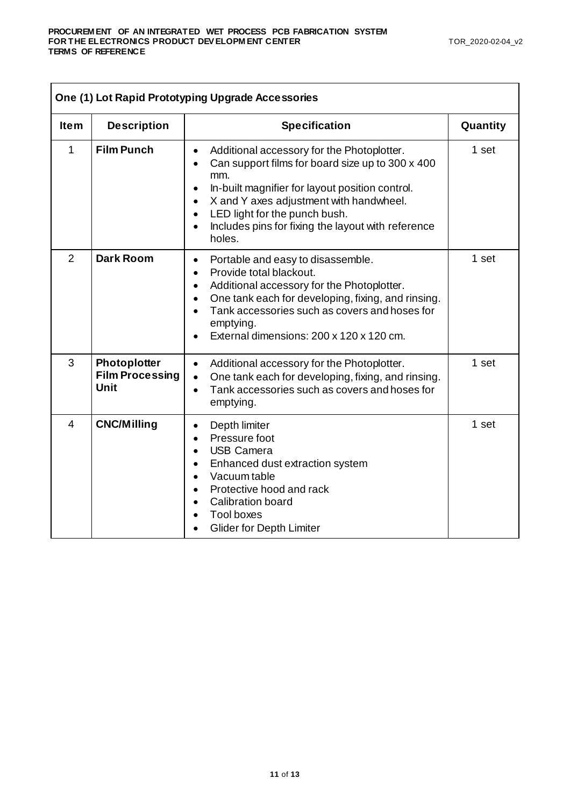| One (1) Lot Rapid Prototyping Upgrade Accessories |                                                       |                                                                                                                                                                                                                                                                                                                                                                       |          |
|---------------------------------------------------|-------------------------------------------------------|-----------------------------------------------------------------------------------------------------------------------------------------------------------------------------------------------------------------------------------------------------------------------------------------------------------------------------------------------------------------------|----------|
| <b>Item</b>                                       | <b>Description</b>                                    | <b>Specification</b>                                                                                                                                                                                                                                                                                                                                                  | Quantity |
| 1                                                 | <b>Film Punch</b>                                     | Additional accessory for the Photoplotter.<br>$\bullet$<br>Can support films for board size up to 300 x 400<br>mm.<br>In-built magnifier for layout position control.<br>$\bullet$<br>X and Y axes adjustment with handwheel.<br>$\bullet$<br>LED light for the punch bush.<br>$\bullet$<br>Includes pins for fixing the layout with reference<br>$\bullet$<br>holes. | 1 set    |
| $\overline{2}$                                    | <b>Dark Room</b>                                      | Portable and easy to disassemble.<br>$\bullet$<br>Provide total blackout.<br>$\bullet$<br>Additional accessory for the Photoplotter.<br>$\bullet$<br>One tank each for developing, fixing, and rinsing.<br>$\bullet$<br>Tank accessories such as covers and hoses for<br>emptying.<br>External dimensions: 200 x 120 x 120 cm.                                        | 1 set    |
| 3                                                 | Photoplotter<br><b>Film Processing</b><br><b>Unit</b> | Additional accessory for the Photoplotter.<br>$\bullet$<br>One tank each for developing, fixing, and rinsing.<br>Tank accessories such as covers and hoses for<br>$\bullet$<br>emptying.                                                                                                                                                                              | 1 set    |
| $\overline{4}$                                    | <b>CNC/Milling</b>                                    | Depth limiter<br>$\bullet$<br>Pressure foot<br>$\bullet$<br><b>USB Camera</b><br>$\bullet$<br>Enhanced dust extraction system<br>$\bullet$<br>Vacuum table<br>$\bullet$<br>Protective hood and rack<br>$\bullet$<br><b>Calibration board</b><br><b>Tool boxes</b><br><b>Glider for Depth Limiter</b>                                                                  | 1 set    |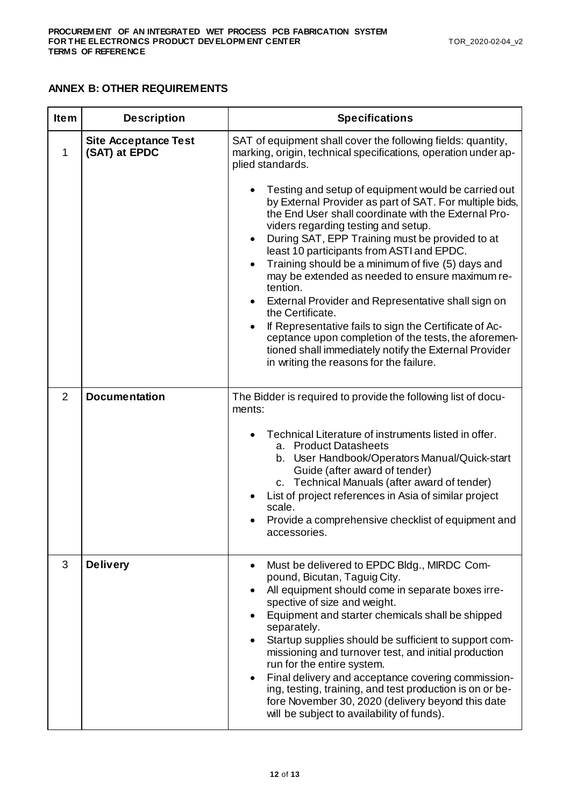#### **ANNEX B: OTHER REQUIREMENTS**

| <b>Item</b>    | <b>Description</b>                           | <b>Specifications</b>                                                                                                                                                                                                                                                                                                                                                                                                                                                                                                                                                                                                                                                                                                                                                                                                                                                                                                          |
|----------------|----------------------------------------------|--------------------------------------------------------------------------------------------------------------------------------------------------------------------------------------------------------------------------------------------------------------------------------------------------------------------------------------------------------------------------------------------------------------------------------------------------------------------------------------------------------------------------------------------------------------------------------------------------------------------------------------------------------------------------------------------------------------------------------------------------------------------------------------------------------------------------------------------------------------------------------------------------------------------------------|
| 1              | <b>Site Acceptance Test</b><br>(SAT) at EPDC | SAT of equipment shall cover the following fields: quantity,<br>marking, origin, technical specifications, operation under ap-<br>plied standards.<br>Testing and setup of equipment would be carried out<br>by External Provider as part of SAT. For multiple bids,<br>the End User shall coordinate with the External Pro-<br>viders regarding testing and setup.<br>During SAT, EPP Training must be provided to at<br>$\bullet$<br>least 10 participants from ASTI and EPDC.<br>Training should be a minimum of five (5) days and<br>$\bullet$<br>may be extended as needed to ensure maximum re-<br>tention.<br>External Provider and Representative shall sign on<br>the Certificate.<br>If Representative fails to sign the Certificate of Ac-<br>$\bullet$<br>ceptance upon completion of the tests, the aforemen-<br>tioned shall immediately notify the External Provider<br>in writing the reasons for the failure. |
| $\overline{2}$ | <b>Documentation</b>                         | The Bidder is required to provide the following list of docu-<br>ments:<br>Technical Literature of instruments listed in offer.<br>a. Product Datasheets<br>b. User Handbook/Operators Manual/Quick-start<br>Guide (after award of tender)<br>c. Technical Manuals (after award of tender)<br>List of project references in Asia of similar project<br>scale.<br>Provide a comprehensive checklist of equipment and<br>accessories.                                                                                                                                                                                                                                                                                                                                                                                                                                                                                            |
| 3              | <b>Delivery</b>                              | Must be delivered to EPDC Bldg., MIRDC Com-<br>$\bullet$<br>pound, Bicutan, Taguig City.<br>All equipment should come in separate boxes irre-<br>spective of size and weight.<br>Equipment and starter chemicals shall be shipped<br>separately.<br>Startup supplies should be sufficient to support com-<br>missioning and turnover test, and initial production<br>run for the entire system.<br>Final delivery and acceptance covering commission-<br>ing, testing, training, and test production is on or be-<br>fore November 30, 2020 (delivery beyond this date<br>will be subject to availability of funds).                                                                                                                                                                                                                                                                                                           |